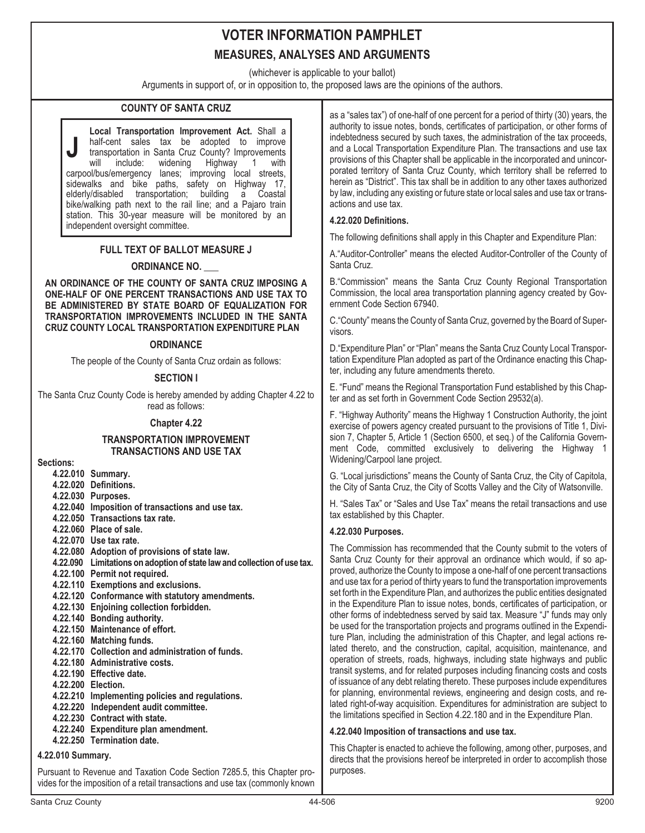(whichever is applicable to your ballot)

Arguments in support of, or in opposition to, the proposed laws are the opinions of the authors.

# **COUNTY OF SANTA CRUZ**

**J Local Transportation Improvement Act.** Shall a half-cent sales tax be adopted to improve transportation in Santa Cruz County? Improvements<br>will include: widening Highway 1 with Highway 1 with carpool/bus/emergency lanes; improving local streets, sidewalks and bike paths, safety on Highway 17, elderly/disabled transportation; bike/walking path next to the rail line; and a Pajaro train station. This 30-year measure will be monitored by an independent oversight committee.

# **FULL TEXT OF BALLOT MEASURE J**

# **ORDINANCE NO. \_\_\_**

**AN ORDINANCE OF THE COUNTY OF SANTA CRUZ IMPOSING A ONE-HALF OF ONE PERCENT TRANSACTIONS AND USE TAX TO BE ADMINISTERED BY STATE BOARD OF EQUALIZATION FOR TRANSPORTATION IMPROVEMENTS INCLUDED IN THE SANTA CRUZ COUNTY LOCAL TRANSPORTATION EXPENDITURE PLAN**

#### **ORDINANCE**

The people of the County of Santa Cruz ordain as follows:

#### **SECTION I**

The Santa Cruz County Code is hereby amended by adding Chapter 4.22 to read as follows:

#### **Chapter 4.22**

#### **TRANSPORTATION IMPROVEMENT TRANSACTIONS AND USE TAX**

**Sections:**

- **4.22.010 Summary.**
- **4.22.020 Definitions.**
- **4.22.030 Purposes.**
- **4.22.040 Imposition of transactions and use tax.**
- **4.22.050 Transactions tax rate.**
- **4.22.060 Place of sale.**
- **4.22.070 Use tax rate.**
- **4.22.080 Adoption of provisions of state law.**
- **4.22.090 Limitations on adoption of state law and collection of use tax.**
- **4.22.100 Permit not required.**
- **4.22.110 Exemptions and exclusions.**
- **4.22.120 Conformance with statutory amendments.**
- **4.22.130 Enjoining collection forbidden.**
- **4.22.140 Bonding authority.**
- **4.22.150 Maintenance of effort.**
- **4.22.160 Matching funds.**
- **4.22.170 Collection and administration of funds.**
- **4.22.180 Administrative costs.**
- **4.22.190 Effective date.**
- **4.22.200 Election.**
- **4.22.210 Implementing policies and regulations.**
- **4.22.220 Independent audit committee.**
- **4.22.230 Contract with state.**
- **4.22.240 Expenditure plan amendment. 4.22.250 Termination date.**

# **4.22.010 Summary.**

Pursuant to Revenue and Taxation Code Section 7285.5, this Chapter provides for the imposition of a retail transactions and use tax (commonly known as a "sales tax") of one-half of one percent for a period of thirty (30) years, the authority to issue notes, bonds, certificates of participation, or other forms of indebtedness secured by such taxes, the administration of the tax proceeds, and a Local Transportation Expenditure Plan. The transactions and use tax provisions of this Chapter shall be applicable in the incorporated and unincorporated territory of Santa Cruz County, which territory shall be referred to herein as "District". This tax shall be in addition to any other taxes authorized by law, including any existing or future state or local sales and use tax or transactions and use tax.

### **4.22.020 Definitions.**

The following definitions shall apply in this Chapter and Expenditure Plan:

A."Auditor-Controller" means the elected Auditor-Controller of the County of Santa Cruz.

B."Commission" means the Santa Cruz County Regional Transportation Commission, the local area transportation planning agency created by Government Code Section 67940.

C."County" means the County of Santa Cruz, governed by the Board of Supervisors.

D."Expenditure Plan" or "Plan" means the Santa Cruz County Local Transportation Expenditure Plan adopted as part of the Ordinance enacting this Chapter, including any future amendments thereto.

E. "Fund" means the Regional Transportation Fund established by this Chapter and as set forth in Government Code Section 29532(a).

F. "Highway Authority" means the Highway 1 Construction Authority, the joint exercise of powers agency created pursuant to the provisions of Title 1, Division 7, Chapter 5, Article 1 (Section 6500, et seq.) of the California Government Code, committed exclusively to delivering the Highway 1 Widening/Carpool lane project.

G. "Local jurisdictions" means the County of Santa Cruz, the City of Capitola, the City of Santa Cruz, the City of Scotts Valley and the City of Watsonville.

H. "Sales Tax" or "Sales and Use Tax" means the retail transactions and use tax established by this Chapter.

#### **4.22.030 Purposes.**

The Commission has recommended that the County submit to the voters of Santa Cruz County for their approval an ordinance which would, if so approved, authorize the County to impose a one-half of one percent transactions and use tax for a period of thirty years to fund the transportation improvements set forth in the Expenditure Plan, and authorizes the public entities designated in the Expenditure Plan to issue notes, bonds, certificates of participation, or other forms of indebtedness served by said tax. Measure "J" funds may only be used for the transportation projects and programs outlined in the Expenditure Plan, including the administration of this Chapter, and legal actions related thereto, and the construction, capital, acquisition, maintenance, and operation of streets, roads, highways, including state highways and public transit systems, and for related purposes including financing costs and costs of issuance of any debt relating thereto. These purposes include expenditures for planning, environmental reviews, engineering and design costs, and related right-of-way acquisition. Expenditures for administration are subject to the limitations specified in Section 4.22.180 and in the Expenditure Plan.

# **4.22.040 Imposition of transactions and use tax.**

This Chapter is enacted to achieve the following, among other, purposes, and directs that the provisions hereof be interpreted in order to accomplish those purposes.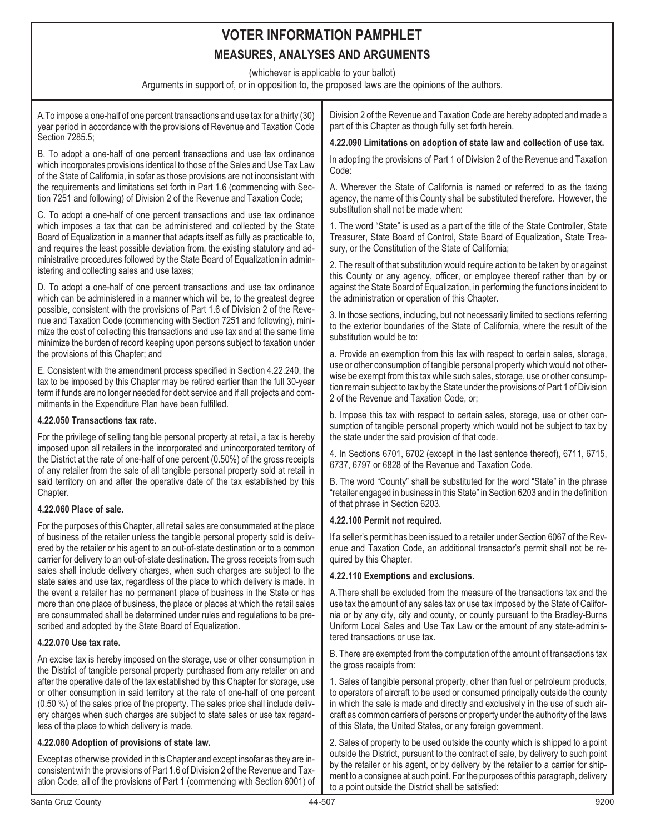(whichever is applicable to your ballot)

Arguments in support of, or in opposition to, the proposed laws are the opinions of the authors.

A.To impose a one-half of one percent transactions and use tax for a thirty (30) year period in accordance with the provisions of Revenue and Taxation Code Section 7285.5; B. To adopt a one-half of one percent transactions and use tax ordinance which incorporates provisions identical to those of the Sales and Use Tax Law of the State of California, in sofar as those provisions are not inconsistant with the requirements and limitations set forth in Part 1.6 (commencing with Section 7251 and following) of Division 2 of the Revenue and Taxation Code; C. To adopt a one-half of one percent transactions and use tax ordinance which imposes a tax that can be administered and collected by the State Board of Equalization in a manner that adapts itself as fully as practicable to, and requires the least possible deviation from, the existing statutory and administrative procedures followed by the State Board of Equalization in administering and collecting sales and use taxes; D. To adopt a one-half of one percent transactions and use tax ordinance which can be administered in a manner which will be, to the greatest degree possible, consistent with the provisions of Part 1.6 of Division 2 of the Revenue and Taxation Code (commencing with Section 7251 and following), minimize the cost of collecting this transactions and use tax and at the same time minimize the burden of record keeping upon persons subject to taxation under the provisions of this Chapter; and E. Consistent with the amendment process specified in Section 4.22.240, the tax to be imposed by this Chapter may be retired earlier than the full 30-year term if funds are no longer needed for debt service and if all projects and commitments in the Expenditure Plan have been fulfilled. **4.22.050 Transactions tax rate.** For the privilege of selling tangible personal property at retail, a tax is hereby imposed upon all retailers in the incorporated and unincorporated territory of the District at the rate of one-half of one percent (0.50%) of the gross receipts of any retailer from the sale of all tangible personal property sold at retail in said territory on and after the operative date of the tax established by this Chapter. **4.22.060 Place of sale.** For the purposes of this Chapter, all retail sales are consummated at the place of business of the retailer unless the tangible personal property sold is delivered by the retailer or his agent to an out-of-state destination or to a common carrier for delivery to an out-of-state destination. The gross receipts from such sales shall include delivery charges, when such charges are subject to the state sales and use tax, regardless of the place to which delivery is made. In the event a retailer has no permanent place of business in the State or has more than one place of business, the place or places at which the retail sales are consummated shall be determined under rules and regulations to be prescribed and adopted by the State Board of Equalization. **4.22.070 Use tax rate.** An excise tax is hereby imposed on the storage, use or other consumption in the District of tangible personal property purchased from any retailer on and after the operative date of the tax established by this Chapter for storage, use or other consumption in said territory at the rate of one-half of one percent (0.50 %) of the sales price of the property. The sales price shall include delivery charges when such charges are subject to state sales or use tax regardless of the place to which delivery is made. **4.22.080 Adoption of provisions of state law.** Except as otherwise provided in this Chapter and except insofar as they are inconsistent with the provisions of Part 1.6 of Division 2 of the Revenue and Taxation Code, all of the provisions of Part 1 (commencing with Section 6001) of Division 2 of the Revenue and Taxation Code are hereby adopted and made a part of this Chapter as though fully set forth herein. **4.22.090 Limitations on adoption of state law and collection of use tax.** In adopting the provisions of Part 1 of Division 2 of the Revenue and Taxation Code: A. Wherever the State of California is named or referred to as the taxing agency, the name of this County shall be substituted therefore. However, the substitution shall not be made when: 1. The word "State" is used as a part of the title of the State Controller, State Treasurer, State Board of Control, State Board of Equalization, State Treasury, or the Constitution of the State of California; 2. The result of that substitution would require action to be taken by or against this County or any agency, officer, or employee thereof rather than by or against the State Board of Equalization, in performing the functions incident to the administration or operation of this Chapter. 3. In those sections, including, but not necessarily limited to sections referring to the exterior boundaries of the State of California, where the result of the substitution would be to: a. Provide an exemption from this tax with respect to certain sales, storage, use or other consumption of tangible personal property which would not otherwise be exempt from this tax while such sales, storage, use or other consumption remain subject to tax by the State under the provisions of Part 1 of Division 2 of the Revenue and Taxation Code, or; b. Impose this tax with respect to certain sales, storage, use or other consumption of tangible personal property which would not be subject to tax by the state under the said provision of that code. 4. In Sections 6701, 6702 (except in the last sentence thereof), 6711, 6715, 6737, 6797 or 6828 of the Revenue and Taxation Code. B. The word "County" shall be substituted for the word "State" in the phrase "retailer engaged in business in this State" in Section 6203 and in the definition of that phrase in Section 6203. **4.22.100 Permit not required.** If a seller's permit has been issued to a retailer under Section 6067 of the Revenue and Taxation Code, an additional transactor's permit shall not be required by this Chapter. **4.22.110 Exemptions and exclusions.** A.There shall be excluded from the measure of the transactions tax and the use tax the amount of any sales tax or use tax imposed by the State of California or by any city, city and county, or county pursuant to the Bradley-Burns Uniform Local Sales and Use Tax Law or the amount of any state-administered transactions or use tax. B. There are exempted from the computation of the amount of transactions tax the gross receipts from: 1. Sales of tangible personal property, other than fuel or petroleum products, to operators of aircraft to be used or consumed principally outside the county in which the sale is made and directly and exclusively in the use of such aircraft as common carriers of persons or property under the authority of the laws of this State, the United States, or any foreign government. 2. Sales of property to be used outside the county which is shipped to a point outside the District, pursuant to the contract of sale, by delivery to such point by the retailer or his agent, or by delivery by the retailer to a carrier for shipment to a consignee at such point. For the purposes of this paragraph, delivery to a point outside the District shall be satisfied: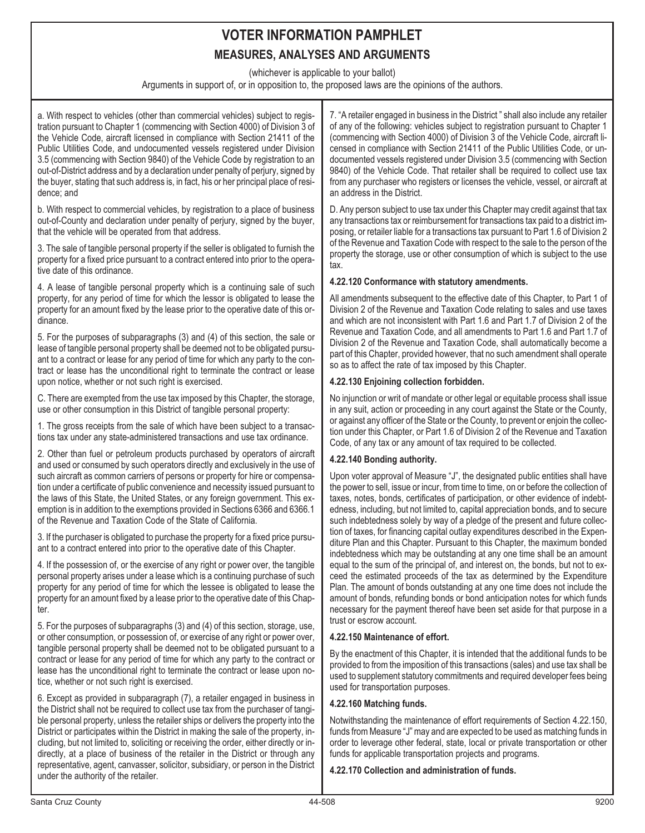(whichever is applicable to your ballot)

Arguments in support of, or in opposition to, the proposed laws are the opinions of the authors.

a. With respect to vehicles (other than commercial vehicles) subject to registration pursuant to Chapter 1 (commencing with Section 4000) of Division 3 of the Vehicle Code, aircraft licensed in compliance with Section 21411 of the Public Utilities Code, and undocumented vessels registered under Division 3.5 (commencing with Section 9840) of the Vehicle Code by registration to an out-of-District address and by a declaration under penalty of perjury, signed by the buyer, stating that such address is, in fact, his or her principal place of residence; and

b. With respect to commercial vehicles, by registration to a place of business out-of-County and declaration under penalty of perjury, signed by the buyer, that the vehicle will be operated from that address.

3. The sale of tangible personal property if the seller is obligated to furnish the property for a fixed price pursuant to a contract entered into prior to the operative date of this ordinance.

4. A lease of tangible personal property which is a continuing sale of such property, for any period of time for which the lessor is obligated to lease the property for an amount fixed by the lease prior to the operative date of this ordinance.

5. For the purposes of subparagraphs (3) and (4) of this section, the sale or lease of tangible personal property shall be deemed not to be obligated pursuant to a contract or lease for any period of time for which any party to the contract or lease has the unconditional right to terminate the contract or lease upon notice, whether or not such right is exercised.

C. There are exempted from the use tax imposed by this Chapter, the storage, use or other consumption in this District of tangible personal property:

1. The gross receipts from the sale of which have been subject to a transactions tax under any state-administered transactions and use tax ordinance.

2. Other than fuel or petroleum products purchased by operators of aircraft and used or consumed by such operators directly and exclusively in the use of such aircraft as common carriers of persons or property for hire or compensation under a certificate of public convenience and necessity issued pursuant to the laws of this State, the United States, or any foreign government. This exemption is in addition to the exemptions provided in Sections 6366 and 6366.1 of the Revenue and Taxation Code of the State of California.

3. If the purchaser is obligated to purchase the property for a fixed price pursuant to a contract entered into prior to the operative date of this Chapter.

4. If the possession of, or the exercise of any right or power over, the tangible personal property arises under a lease which is a continuing purchase of such property for any period of time for which the lessee is obligated to lease the property for an amount fixed by a lease prior to the operative date of this Chapter.

5. For the purposes of subparagraphs (3) and (4) of this section, storage, use, or other consumption, or possession of, or exercise of any right or power over, tangible personal property shall be deemed not to be obligated pursuant to a contract or lease for any period of time for which any party to the contract or lease has the unconditional right to terminate the contract or lease upon notice, whether or not such right is exercised.

6. Except as provided in subparagraph (7), a retailer engaged in business in the District shall not be required to collect use tax from the purchaser of tangible personal property, unless the retailer ships or delivers the property into the District or participates within the District in making the sale of the property, including, but not limited to, soliciting or receiving the order, either directly or indirectly, at a place of business of the retailer in the District or through any representative, agent, canvasser, solicitor, subsidiary, or person in the District under the authority of the retailer.

7. "A retailer engaged in business in the District " shall also include any retailer of any of the following: vehicles subject to registration pursuant to Chapter 1 (commencing with Section 4000) of Division 3 of the Vehicle Code, aircraft licensed in compliance with Section 21411 of the Public Utilities Code, or undocumented vessels registered under Division 3.5 (commencing with Section 9840) of the Vehicle Code. That retailer shall be required to collect use tax from any purchaser who registers or licenses the vehicle, vessel, or aircraft at an address in the District.

D. Any person subject to use tax under this Chapter may credit against that tax any transactions tax or reimbursement for transactions tax paid to a district imposing, or retailer liable for a transactions tax pursuant to Part 1.6 of Division 2 of the Revenue and Taxation Code with respect to the sale to the person of the property the storage, use or other consumption of which is subject to the use tax.

# **4.22.120 Conformance with statutory amendments.**

All amendments subsequent to the effective date of this Chapter, to Part 1 of Division 2 of the Revenue and Taxation Code relating to sales and use taxes and which are not inconsistent with Part 1.6 and Part 1.7 of Division 2 of the Revenue and Taxation Code, and all amendments to Part 1.6 and Part 1.7 of Division 2 of the Revenue and Taxation Code, shall automatically become a part of this Chapter, provided however, that no such amendment shall operate so as to affect the rate of tax imposed by this Chapter.

# **4.22.130 Enjoining collection forbidden.**

No injunction or writ of mandate or other legal or equitable process shall issue in any suit, action or proceeding in any court against the State or the County, or against any officer of the State or the County, to prevent or enjoin the collection under this Chapter, or Part 1.6 of Division 2 of the Revenue and Taxation Code, of any tax or any amount of tax required to be collected.

# **4.22.140 Bonding authority.**

Upon voter approval of Measure "J", the designated public entities shall have the power to sell, issue or incur, from time to time, on or before the collection of taxes, notes, bonds, certificates of participation, or other evidence of indebtedness, including, but not limited to, capital appreciation bonds, and to secure such indebtedness solely by way of a pledge of the present and future collection of taxes, for financing capital outlay expenditures described in the Expenditure Plan and this Chapter. Pursuant to this Chapter, the maximum bonded indebtedness which may be outstanding at any one time shall be an amount equal to the sum of the principal of, and interest on, the bonds, but not to exceed the estimated proceeds of the tax as determined by the Expenditure Plan. The amount of bonds outstanding at any one time does not include the amount of bonds, refunding bonds or bond anticipation notes for which funds necessary for the payment thereof have been set aside for that purpose in a trust or escrow account.

#### **4.22.150 Maintenance of effort.**

By the enactment of this Chapter, it is intended that the additional funds to be provided to from the imposition of this transactions (sales) and use tax shall be used to supplement statutory commitments and required developer fees being used for transportation purposes.

# **4.22.160 Matching funds.**

Notwithstanding the maintenance of effort requirements of Section 4.22.150, funds from Measure "J" may and are expected to be used as matching funds in order to leverage other federal, state, local or private transportation or other funds for applicable transportation projects and programs.

**4.22.170 Collection and administration of funds.**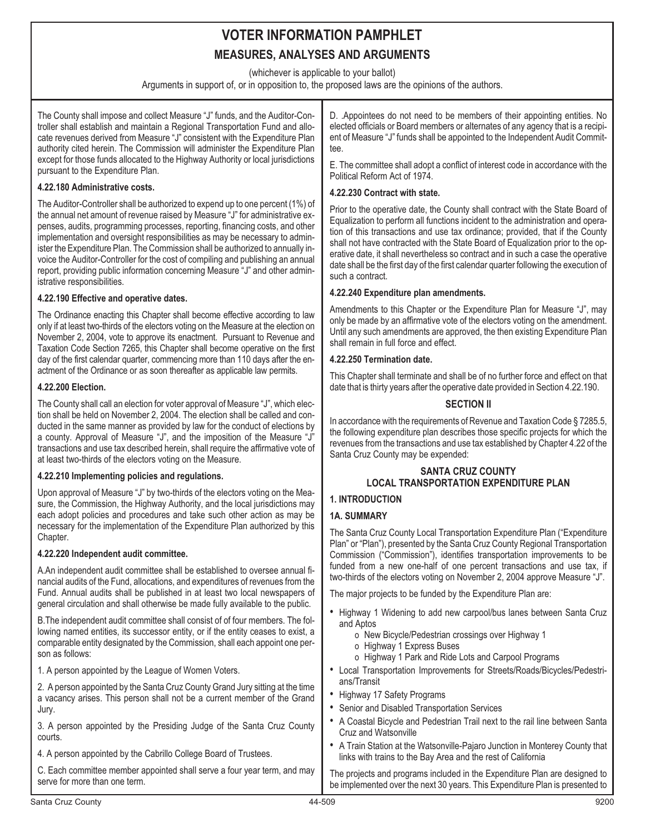(whichever is applicable to your ballot)

Arguments in support of, or in opposition to, the proposed laws are the opinions of the authors.

The County shall impose and collect Measure "J" funds, and the Auditor-Controller shall establish and maintain a Regional Transportation Fund and allocate revenues derived from Measure "J" consistent with the Expenditure Plan authority cited herein. The Commission will administer the Expenditure Plan except for those funds allocated to the Highway Authority or local jurisdictions pursuant to the Expenditure Plan.

# **4.22.180 Administrative costs.**

The Auditor-Controller shall be authorized to expend up to one percent (1%) of the annual net amount of revenue raised by Measure "J" for administrative expenses, audits, programming processes, reporting, financing costs, and other implementation and oversight responsibilities as may be necessary to administer the Expenditure Plan. The Commission shall be authorized to annually invoice the Auditor-Controller for the cost of compiling and publishing an annual report, providing public information concerning Measure "J" and other administrative responsibilities.

# **4.22.190 Effective and operative dates.**

The Ordinance enacting this Chapter shall become effective according to law only if at least two-thirds of the electors voting on the Measure at the election on November 2, 2004, vote to approve its enactment. Pursuant to Revenue and Taxation Code Section 7265, this Chapter shall become operative on the first day of the first calendar quarter, commencing more than 110 days after the enactment of the Ordinance or as soon thereafter as applicable law permits.

# **4.22.200 Election.**

The County shall call an election for voter approval of Measure "J", which election shall be held on November 2, 2004. The election shall be called and conducted in the same manner as provided by law for the conduct of elections by a county. Approval of Measure "J", and the imposition of the Measure "J" transactions and use tax described herein, shall require the affirmative vote of at least two-thirds of the electors voting on the Measure.

# **4.22.210 Implementing policies and regulations.**

Upon approval of Measure "J" by two-thirds of the electors voting on the Measure, the Commission, the Highway Authority, and the local jurisdictions may each adopt policies and procedures and take such other action as may be necessary for the implementation of the Expenditure Plan authorized by this Chapter.

# **4.22.220 Independent audit committee.**

A.An independent audit committee shall be established to oversee annual financial audits of the Fund, allocations, and expenditures of revenues from the Fund. Annual audits shall be published in at least two local newspapers of general circulation and shall otherwise be made fully available to the public.

B.The independent audit committee shall consist of of four members. The following named entities, its successor entity, or if the entity ceases to exist, a comparable entity designated by the Commission, shall each appoint one person as follows:

1. A person appointed by the League of Women Voters.

2. A person appointed by the Santa Cruz County Grand Jury sitting at the time a vacancy arises. This person shall not be a current member of the Grand Jury.

3. A person appointed by the Presiding Judge of the Santa Cruz County courts.

4. A person appointed by the Cabrillo College Board of Trustees.

C. Each committee member appointed shall serve a four year term, and may serve for more than one term.

D. .Appointees do not need to be members of their appointing entities. No elected officials or Board members or alternates of any agency that is a recipient of Measure "J" funds shall be appointed to the Independent Audit Committee.

E. The committee shall adopt a conflict of interest code in accordance with the Political Reform Act of 1974.

# **4.22.230 Contract with state.**

Prior to the operative date, the County shall contract with the State Board of Equalization to perform all functions incident to the administration and operation of this transactions and use tax ordinance; provided, that if the County shall not have contracted with the State Board of Equalization prior to the operative date, it shall nevertheless so contract and in such a case the operative date shall be the first day of the first calendar quarter following the execution of such a contract.

# **4.22.240 Expenditure plan amendments.**

Amendments to this Chapter or the Expenditure Plan for Measure "J", may only be made by an affirmative vote of the electors voting on the amendment. Until any such amendments are approved, the then existing Expenditure Plan shall remain in full force and effect.

# **4.22.250 Termination date.**

This Chapter shall terminate and shall be of no further force and effect on that date that is thirty years after the operative date provided in Section 4.22.190.

# **SECTION II**

In accordance with the requirements of Revenue and Taxation Code § 7285.5, the following expenditure plan describes those specific projects for which the revenues from the transactions and use tax established by Chapter 4.22 of the Santa Cruz County may be expended:

# **SANTA CRUZ COUNTY LOCAL TRANSPORTATION EXPENDITURE PLAN**

# **1. INTRODUCTION**

# **1A. SUMMARY**

The Santa Cruz County Local Transportation Expenditure Plan ("Expenditure Plan" or "Plan"), presented by the Santa Cruz County Regional Transportation Commission ("Commission"), identifies transportation improvements to be funded from a new one-half of one percent transactions and use tax, if two-thirds of the electors voting on November 2, 2004 approve Measure "J".

The major projects to be funded by the Expenditure Plan are:

- Highway 1 Widening to add new carpool/bus lanes between Santa Cruz and Aptos
	- o New Bicycle/Pedestrian crossings over Highway 1
	- o Highway 1 Express Buses
	- o Highway 1 Park and Ride Lots and Carpool Programs
- Local Transportation Improvements for Streets/Roads/Bicycles/Pedestrians/Transit
- Highway 17 Safety Programs
- Senior and Disabled Transportation Services
- A Coastal Bicycle and Pedestrian Trail next to the rail line between Santa Cruz and Watsonville
- A Train Station at the Watsonville-Pajaro Junction in Monterey County that links with trains to the Bay Area and the rest of California

The projects and programs included in the Expenditure Plan are designed to be implemented over the next 30 years. This Expenditure Plan is presented to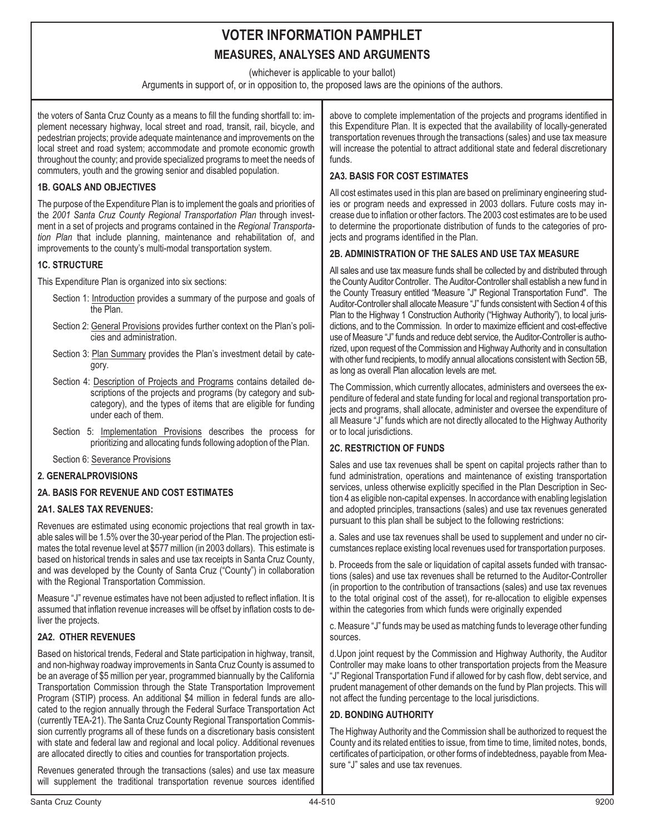(whichever is applicable to your ballot)

Arguments in support of, or in opposition to, the proposed laws are the opinions of the authors.

the voters of Santa Cruz County as a means to fill the funding shortfall to: implement necessary highway, local street and road, transit, rail, bicycle, and pedestrian projects; provide adequate maintenance and improvements on the local street and road system; accommodate and promote economic growth throughout the county; and provide specialized programs to meet the needs of commuters, youth and the growing senior and disabled population.

## **1B. GOALS AND OBJECTIVES**

The purpose of the Expenditure Plan is to implement the goals and priorities of the *2001 Santa Cruz County Regional Transportation Plan* through investment in a set of projects and programs contained in the *Regional Transportation Plan* that include planning, maintenance and rehabilitation of, and improvements to the county's multi-modal transportation system.

### **1C. STRUCTURE**

This Expenditure Plan is organized into six sections:

- Section 1: Introduction provides a summary of the purpose and goals of the Plan.
- Section 2: General Provisions provides further context on the Plan's policies and administration.
- Section 3: Plan Summary provides the Plan's investment detail by category.
- Section 4: Description of Projects and Programs contains detailed descriptions of the projects and programs (by category and subcategory), and the types of items that are eligible for funding under each of them.
- Section 5: Implementation Provisions describes the process for prioritizing and allocating funds following adoption of the Plan.

Section 6: Severance Provisions

### **2. GENERALPROVISIONS**

# **2A. BASIS FOR REVENUE AND COST ESTIMATES**

#### **2A1. SALES TAX REVENUES:**

Revenues are estimated using economic projections that real growth in taxable sales will be 1.5% over the 30-year period of the Plan. The projection estimates the total revenue level at \$577 million (in 2003 dollars). This estimate is based on historical trends in sales and use tax receipts in Santa Cruz County, and was developed by the County of Santa Cruz ("County") in collaboration with the Regional Transportation Commission.

Measure "J" revenue estimates have not been adjusted to reflect inflation. It is assumed that inflation revenue increases will be offset by inflation costs to deliver the projects.

# **2A2. OTHER REVENUES**

Based on historical trends, Federal and State participation in highway, transit, and non-highway roadway improvements in Santa Cruz County is assumed to be an average of \$5 million per year, programmed biannually by the California Transportation Commission through the State Transportation Improvement Program (STIP) process. An additional \$4 million in federal funds are allocated to the region annually through the Federal Surface Transportation Act (currently TEA-21). The Santa Cruz County Regional Transportation Commission currently programs all of these funds on a discretionary basis consistent with state and federal law and regional and local policy. Additional revenues are allocated directly to cities and counties for transportation projects.

Revenues generated through the transactions (sales) and use tax measure will supplement the traditional transportation revenue sources identified above to complete implementation of the projects and programs identified in this Expenditure Plan. It is expected that the availability of locally-generated transportation revenues through the transactions (sales) and use tax measure will increase the potential to attract additional state and federal discretionary funds.

## **2A3. BASIS FOR COST ESTIMATES**

All cost estimates used in this plan are based on preliminary engineering studies or program needs and expressed in 2003 dollars. Future costs may increase due to inflation or other factors. The 2003 cost estimates are to be used to determine the proportionate distribution of funds to the categories of projects and programs identified in the Plan.

### **2B. ADMINISTRATION OF THE SALES AND USE TAX MEASURE**

All sales and use tax measure funds shall be collected by and distributed through the County Auditor Controller. The Auditor-Controller shall establish a new fund in the County Treasury entitled "Measure "J" Regional Transportation Fund". The Auditor-Controller shall allocate Measure "J" funds consistent with Section 4 of this Plan to the Highway 1 Construction Authority ("Highway Authority"), to local jurisdictions, and to the Commission. In order to maximize efficient and cost-effective use of Measure "J" funds and reduce debt service, the Auditor-Controller is authorized, upon request of the Commission and Highway Authority and in consultation with other fund recipients, to modify annual allocations consistent with Section 5B, as long as overall Plan allocation levels are met.

The Commission, which currently allocates, administers and oversees the expenditure of federal and state funding for local and regional transportation projects and programs, shall allocate, administer and oversee the expenditure of all Measure "J" funds which are not directly allocated to the Highway Authority or to local jurisdictions.

### **2C. RESTRICTION OF FUNDS**

Sales and use tax revenues shall be spent on capital projects rather than to fund administration, operations and maintenance of existing transportation services, unless otherwise explicitly specified in the Plan Description in Section 4 as eligible non-capital expenses. In accordance with enabling legislation and adopted principles, transactions (sales) and use tax revenues generated pursuant to this plan shall be subject to the following restrictions:

a. Sales and use tax revenues shall be used to supplement and under no circumstances replace existing local revenues used for transportation purposes.

b. Proceeds from the sale or liquidation of capital assets funded with transactions (sales) and use tax revenues shall be returned to the Auditor-Controller (in proportion to the contribution of transactions (sales) and use tax revenues to the total original cost of the asset), for re-allocation to eligible expenses within the categories from which funds were originally expended

c. Measure "J" funds may be used as matching funds to leverage other funding sources.

d.Upon joint request by the Commission and Highway Authority, the Auditor Controller may make loans to other transportation projects from the Measure "J" Regional Transportation Fund if allowed for by cash flow, debt service, and prudent management of other demands on the fund by Plan projects. This will not affect the funding percentage to the local jurisdictions.

#### **2D. BONDING AUTHORITY**

The Highway Authority and the Commission shall be authorized to request the County and its related entities to issue, from time to time, limited notes, bonds, certificates of participation, or other forms of indebtedness, payable from Measure "J" sales and use tax revenues.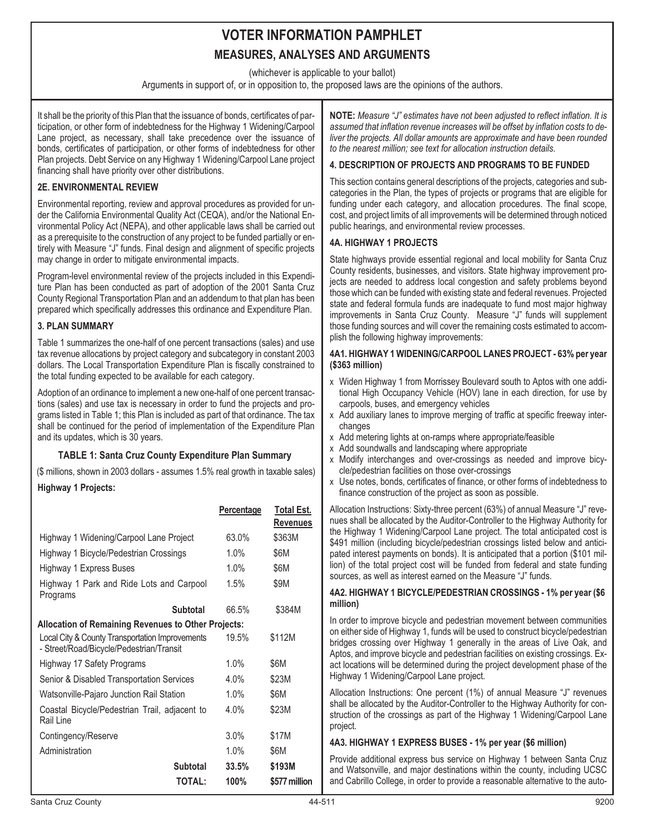(whichever is applicable to your ballot)

Arguments in support of, or in opposition to, the proposed laws are the opinions of the authors.

It shall be the priority of this Plan that the issuance of bonds, certificates of participation, or other form of indebtedness for the Highway 1 Widening/Carpool Lane project, as necessary, shall take precedence over the issuance of bonds, certificates of participation, or other forms of indebtedness for other Plan projects. Debt Service on any Highway 1 Widening/Carpool Lane project financing shall have priority over other distributions.

# **2E. ENVIRONMENTAL REVIEW**

Environmental reporting, review and approval procedures as provided for under the California Environmental Quality Act (CEQA), and/or the National Environmental Policy Act (NEPA), and other applicable laws shall be carried out as a prerequisite to the construction of any project to be funded partially or entirely with Measure "J" funds. Final design and alignment of specific projects may change in order to mitigate environmental impacts.

Program-level environmental review of the projects included in this Expenditure Plan has been conducted as part of adoption of the 2001 Santa Cruz County Regional Transportation Plan and an addendum to that plan has been prepared which specifically addresses this ordinance and Expenditure Plan.

# **3. PLAN SUMMARY**

Table 1 summarizes the one-half of one percent transactions (sales) and use tax revenue allocations by project category and subcategory in constant 2003 dollars. The Local Transportation Expenditure Plan is fiscally constrained to the total funding expected to be available for each category.

Adoption of an ordinance to implement a new one-half of one percent transactions (sales) and use tax is necessary in order to fund the projects and programs listed in Table 1; this Plan is included as part of that ordinance. The tax shall be continued for the period of implementation of the Expenditure Plan and its updates, which is 30 years.

# **TABLE 1: Santa Cruz County Expenditure Plan Summary**

(\$ millions, shown in 2003 dollars - assumes 1.5% real growth in taxable sales) **Highway 1 Projects:**

|                                                                                             | Percentage | Total Est.    |  |
|---------------------------------------------------------------------------------------------|------------|---------------|--|
|                                                                                             |            | Revenues      |  |
| Highway 1 Widening/Carpool Lane Project                                                     | 63.0%      | \$363M        |  |
| Highway 1 Bicycle/Pedestrian Crossings                                                      | $1.0\%$    | \$6M          |  |
| Highway 1 Express Buses                                                                     | 1.0%       | \$6M          |  |
| Highway 1 Park and Ride Lots and Carpool<br>Programs                                        | $1.5\%$    | \$9M          |  |
| <b>Subtotal</b>                                                                             | 66.5%      | \$384M        |  |
| <b>Allocation of Remaining Revenues to Other Projects:</b>                                  |            |               |  |
| Local City & County Transportation Improvements<br>- Street/Road/Bicycle/Pedestrian/Transit | 19.5%      | \$112M        |  |
| Highway 17 Safety Programs                                                                  | $1.0\%$    | \$6M          |  |
| Senior & Disabled Transportation Services                                                   | 4.0%       | \$23M         |  |
| Watsonville-Pajaro Junction Rail Station                                                    | $1.0\%$    | \$6M          |  |
| Coastal Bicycle/Pedestrian Trail, adjacent to<br>Rail Line                                  | 4.0%       | \$23M         |  |
| Contingency/Reserve                                                                         | 3.0%       | \$17M         |  |
| Administration                                                                              | 1.0%       | \$6M          |  |
| <b>Subtotal</b>                                                                             | 33.5%      | \$193M        |  |
| <b>TOTAL:</b>                                                                               | 100%       | \$577 million |  |
|                                                                                             |            |               |  |

**NOTE:** *Measure "J" estimates have not been adjusted to reflect inflation. It is assumed that inflation revenue increases will be offset by inflation costs to deliver the projects. All dollar amounts are approximate and have been rounded to the nearest million; see text for allocation instruction details.*

# **4. DESCRIPTION OF PROJECTS AND PROGRAMS TO BE FUNDED**

This section contains general descriptions of the projects, categories and subcategories in the Plan, the types of projects or programs that are eligible for funding under each category, and allocation procedures. The final scope, cost, and project limits of all improvements will be determined through noticed public hearings, and environmental review processes.

# **4A. HIGHWAY 1 PROJECTS**

State highways provide essential regional and local mobility for Santa Cruz County residents, businesses, and visitors. State highway improvement projects are needed to address local congestion and safety problems beyond those which can be funded with existing state and federal revenues. Projected state and federal formula funds are inadequate to fund most major highway improvements in Santa Cruz County. Measure "J" funds will supplement those funding sources and will cover the remaining costs estimated to accomplish the following highway improvements:

#### **4A1. HIGHWAY 1 WIDENING/CARPOOL LANES PROJECT - 63% per year (\$363 million)**

- x Widen Highway 1 from Morrissey Boulevard south to Aptos with one additional High Occupancy Vehicle (HOV) lane in each direction, for use by carpools, buses, and emergency vehicles
- x Add auxiliary lanes to improve merging of traffic at specific freeway interchanges
- x Add metering lights at on-ramps where appropriate/feasible
- x Add soundwalls and landscaping where appropriate
- x Modify interchanges and over-crossings as needed and improve bicycle/pedestrian facilities on those over-crossings
- x Use notes, bonds, certificates of finance, or other forms of indebtedness to finance construction of the project as soon as possible.

Allocation Instructions: Sixty-three percent (63%) of annual Measure "J" revenues shall be allocated by the Auditor-Controller to the Highway Authority for the Highway 1 Widening/Carpool Lane project. The total anticipated cost is \$491 million (including bicycle/pedestrian crossings listed below and anticipated interest payments on bonds). It is anticipated that a portion (\$101 million) of the total project cost will be funded from federal and state funding sources, as well as interest earned on the Measure "J" funds.

### **4A2. HIGHWAY 1 BICYCLE/PEDESTRIAN CROSSINGS - 1% per year (\$6 million)**

In order to improve bicycle and pedestrian movement between communities on either side of Highway 1, funds will be used to construct bicycle/pedestrian bridges crossing over Highway 1 generally in the areas of Live Oak, and Aptos, and improve bicycle and pedestrian facilities on existing crossings. Exact locations will be determined during the project development phase of the Highway 1 Widening/Carpool Lane project.

Allocation Instructions: One percent (1%) of annual Measure "J" revenues shall be allocated by the Auditor-Controller to the Highway Authority for construction of the crossings as part of the Highway 1 Widening/Carpool Lane project.

# **4A3. HIGHWAY 1 EXPRESS BUSES - 1% per year (\$6 million)**

Provide additional express bus service on Highway 1 between Santa Cruz and Watsonville, and major destinations within the county, including UCSC and Cabrillo College, in order to provide a reasonable alternative to the auto-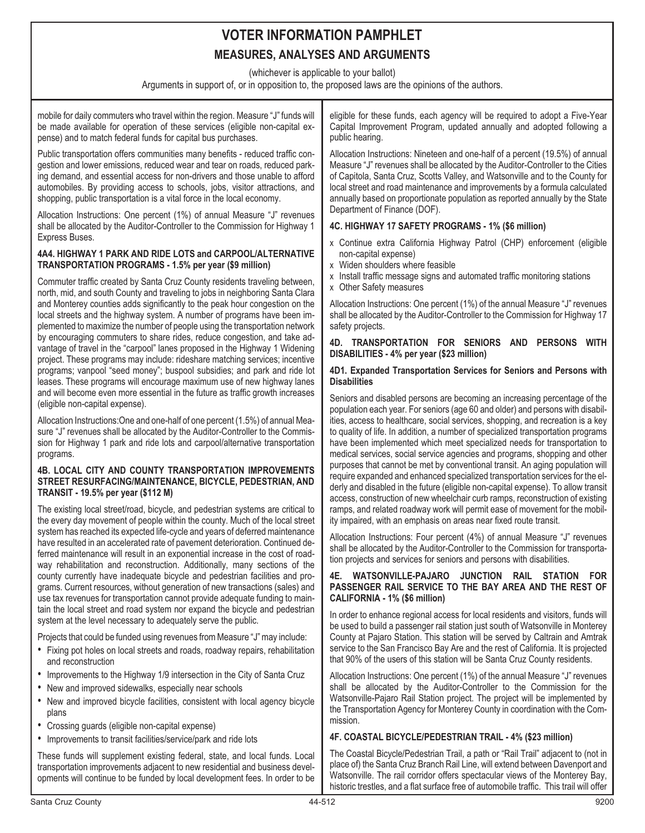(whichever is applicable to your ballot)

Arguments in support of, or in opposition to, the proposed laws are the opinions of the authors.

mobile for daily commuters who travel within the region. Measure "J" funds will be made available for operation of these services (eligible non-capital expense) and to match federal funds for capital bus purchases.

Public transportation offers communities many benefits - reduced traffic congestion and lower emissions, reduced wear and tear on roads, reduced parking demand, and essential access for non-drivers and those unable to afford automobiles. By providing access to schools, jobs, visitor attractions, and shopping, public transportation is a vital force in the local economy.

Allocation Instructions: One percent (1%) of annual Measure "J" revenues shall be allocated by the Auditor-Controller to the Commission for Highway 1 Express Buses.

# **4A4. HIGHWAY 1 PARK AND RIDE LOTS and CARPOOL/ALTERNATIVE TRANSPORTATION PROGRAMS - 1.5% per year (\$9 million)**

Commuter traffic created by Santa Cruz County residents traveling between, north, mid, and south County and traveling to jobs in neighboring Santa Clara and Monterey counties adds significantly to the peak hour congestion on the local streets and the highway system. A number of programs have been implemented to maximize the number of people using the transportation network by encouraging commuters to share rides, reduce congestion, and take advantage of travel in the "carpool" lanes proposed in the Highway 1 Widening project. These programs may include: rideshare matching services; incentive programs; vanpool "seed money"; buspool subsidies; and park and ride lot leases. These programs will encourage maximum use of new highway lanes and will become even more essential in the future as traffic growth increases (eligible non-capital expense).

Allocation Instructions:One and one-half of one percent (1.5%) of annual Measure "J" revenues shall be allocated by the Auditor-Controller to the Commission for Highway 1 park and ride lots and carpool/alternative transportation programs.

#### **4B. LOCAL CITY AND COUNTY TRANSPORTATION IMPROVEMENTS STREET RESURFACING/MAINTENANCE, BICYCLE, PEDESTRIAN, AND TRANSIT - 19.5% per year (\$112 M)**

The existing local street/road, bicycle, and pedestrian systems are critical to the every day movement of people within the county. Much of the local street system has reached its expected life-cycle and years of deferred maintenance have resulted in an accelerated rate of pavement deterioration. Continued deferred maintenance will result in an exponential increase in the cost of roadway rehabilitation and reconstruction. Additionally, many sections of the county currently have inadequate bicycle and pedestrian facilities and programs. Current resources, without generation of new transactions (sales) and use tax revenues for transportation cannot provide adequate funding to maintain the local street and road system nor expand the bicycle and pedestrian system at the level necessary to adequately serve the public.

Projects that could be funded using revenues from Measure "J" may include:

- Fixing pot holes on local streets and roads, roadway repairs, rehabilitation and reconstruction
- Improvements to the Highway 1/9 intersection in the City of Santa Cruz
- New and improved sidewalks, especially near schools
- New and improved bicycle facilities, consistent with local agency bicycle plans
- Crossing guards (eligible non-capital expense)
- Improvements to transit facilities/service/park and ride lots

These funds will supplement existing federal, state, and local funds. Local transportation improvements adjacent to new residential and business developments will continue to be funded by local development fees. In order to be eligible for these funds, each agency will be required to adopt a Five-Year Capital Improvement Program, updated annually and adopted following a public hearing.

Allocation Instructions: Nineteen and one-half of a percent (19.5%) of annual Measure "J" revenues shall be allocated by the Auditor-Controller to the Cities of Capitola, Santa Cruz, Scotts Valley, and Watsonville and to the County for local street and road maintenance and improvements by a formula calculated annually based on proportionate population as reported annually by the State Department of Finance (DOF).

# **4C. HIGHWAY 17 SAFETY PROGRAMS - 1% (\$6 million)**

- x Continue extra California Highway Patrol (CHP) enforcement (eligible non-capital expense)
- x Widen shoulders where feasible
- x Install traffic message signs and automated traffic monitoring stations
- x Other Safety measures

Allocation Instructions: One percent (1%) of the annual Measure "J" revenues shall be allocated by the Auditor-Controller to the Commission for Highway 17 safety projects.

#### **4D. TRANSPORTATION FOR SENIORS AND PERSONS WITH DISABILITIES - 4% per year (\$23 million)**

## **4D1. Expanded Transportation Services for Seniors and Persons with Disabilities**

Seniors and disabled persons are becoming an increasing percentage of the population each year. For seniors (age 60 and older) and persons with disabilities, access to healthcare, social services, shopping, and recreation is a key to quality of life. In addition, a number of specialized transportation programs have been implemented which meet specialized needs for transportation to medical services, social service agencies and programs, shopping and other purposes that cannot be met by conventional transit. An aging population will require expanded and enhanced specialized transportation services for the elderly and disabled in the future (eligible non-capital expense). To allow transit access, construction of new wheelchair curb ramps, reconstruction of existing ramps, and related roadway work will permit ease of movement for the mobility impaired, with an emphasis on areas near fixed route transit.

Allocation Instructions: Four percent (4%) of annual Measure "J" revenues shall be allocated by the Auditor-Controller to the Commission for transportation projects and services for seniors and persons with disabilities.

#### **4E. WATSONVILLE-PAJARO JUNCTION RAIL STATION FOR PASSENGER RAIL SERVICE TO THE BAY AREA AND THE REST OF CALIFORNIA - 1% (\$6 million)**

In order to enhance regional access for local residents and visitors, funds will be used to build a passenger rail station just south of Watsonville in Monterey County at Pajaro Station. This station will be served by Caltrain and Amtrak service to the San Francisco Bay Are and the rest of California. It is projected that 90% of the users of this station will be Santa Cruz County residents.

Allocation Instructions: One percent (1%) of the annual Measure "J" revenues shall be allocated by the Auditor-Controller to the Commission for the Watsonville-Pajaro Rail Station project. The project will be implemented by the Transportation Agency for Monterey County in coordination with the Commission.

# **4F. COASTAL BICYCLE/PEDESTRIAN TRAIL - 4% (\$23 million)**

The Coastal Bicycle/Pedestrian Trail, a path or "Rail Trail" adjacent to (not in place of) the Santa Cruz Branch Rail Line, will extend between Davenport and Watsonville. The rail corridor offers spectacular views of the Monterey Bay, historic trestles, and a flat surface free of automobile traffic. This trail will offer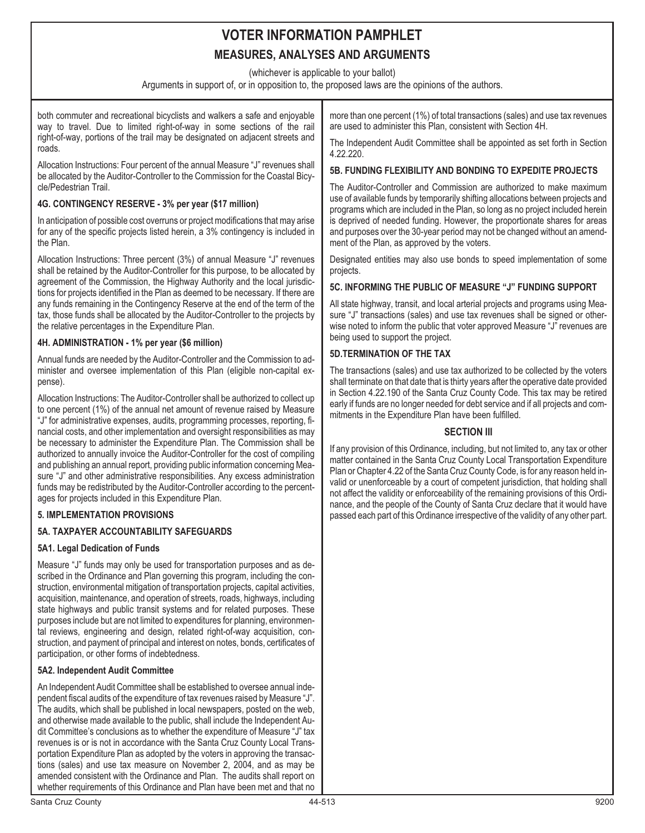(whichever is applicable to your ballot)

Arguments in support of, or in opposition to, the proposed laws are the opinions of the authors.

both commuter and recreational bicyclists and walkers a safe and enjoyable way to travel. Due to limited right-of-way in some sections of the rail right-of-way, portions of the trail may be designated on adjacent streets and roads.

Allocation Instructions: Four percent of the annual Measure "J" revenues shall be allocated by the Auditor-Controller to the Commission for the Coastal Bicycle/Pedestrian Trail.

# **4G. CONTINGENCY RESERVE - 3% per year (\$17 million)**

In anticipation of possible cost overruns or project modifications that may arise for any of the specific projects listed herein, a 3% contingency is included in the Plan.

Allocation Instructions: Three percent (3%) of annual Measure "J" revenues shall be retained by the Auditor-Controller for this purpose, to be allocated by agreement of the Commission, the Highway Authority and the local jurisdictions for projects identified in the Plan as deemed to be necessary. If there are any funds remaining in the Contingency Reserve at the end of the term of the tax, those funds shall be allocated by the Auditor-Controller to the projects by the relative percentages in the Expenditure Plan.

# **4H. ADMINISTRATION - 1% per year (\$6 million)**

Annual funds are needed by the Auditor-Controller and the Commission to administer and oversee implementation of this Plan (eligible non-capital expense).

Allocation Instructions: The Auditor-Controller shall be authorized to collect up to one percent (1%) of the annual net amount of revenue raised by Measure "J" for administrative expenses, audits, programming processes, reporting, financial costs, and other implementation and oversight responsibilities as may be necessary to administer the Expenditure Plan. The Commission shall be authorized to annually invoice the Auditor-Controller for the cost of compiling and publishing an annual report, providing public information concerning Measure "J" and other administrative responsibilities. Any excess administration funds may be redistributed by the Auditor-Controller according to the percentages for projects included in this Expenditure Plan.

# **5. IMPLEMENTATION PROVISIONS**

# **5A. TAXPAYER ACCOUNTABILITY SAFEGUARDS**

# **5A1. Legal Dedication of Funds**

Measure "J" funds may only be used for transportation purposes and as described in the Ordinance and Plan governing this program, including the construction, environmental mitigation of transportation projects, capital activities, acquisition, maintenance, and operation of streets, roads, highways, including state highways and public transit systems and for related purposes. These purposes include but are not limited to expenditures for planning, environmental reviews, engineering and design, related right-of-way acquisition, construction, and payment of principal and interest on notes, bonds, certificates of participation, or other forms of indebtedness.

# **5A2. Independent Audit Committee**

An Independent Audit Committee shall be established to oversee annual independent fiscal audits of the expenditure of tax revenues raised by Measure "J". The audits, which shall be published in local newspapers, posted on the web, and otherwise made available to the public, shall include the Independent Audit Committee's conclusions as to whether the expenditure of Measure "J" tax revenues is or is not in accordance with the Santa Cruz County Local Transportation Expenditure Plan as adopted by the voters in approving the transactions (sales) and use tax measure on November 2, 2004, and as may be amended consistent with the Ordinance and Plan. The audits shall report on whether requirements of this Ordinance and Plan have been met and that no more than one percent (1%) of total transactions (sales) and use tax revenues are used to administer this Plan, consistent with Section 4H.

The Independent Audit Committee shall be appointed as set forth in Section 4.22.220.

# **5B. FUNDING FLEXIBILITY AND BONDING TO EXPEDITE PROJECTS**

The Auditor-Controller and Commission are authorized to make maximum use of available funds by temporarily shifting allocations between projects and programs which are included in the Plan, so long as no project included herein is deprived of needed funding. However, the proportionate shares for areas and purposes over the 30-year period may not be changed without an amendment of the Plan, as approved by the voters.

Designated entities may also use bonds to speed implementation of some projects.

### **5C. INFORMING THE PUBLIC OF MEASURE "J" FUNDING SUPPORT**

All state highway, transit, and local arterial projects and programs using Measure "J" transactions (sales) and use tax revenues shall be signed or otherwise noted to inform the public that voter approved Measure "J" revenues are being used to support the project.

### **5D.TERMINATION OF THE TAX**

The transactions (sales) and use tax authorized to be collected by the voters shall terminate on that date that is thirty years after the operative date provided in Section 4.22.190 of the Santa Cruz County Code. This tax may be retired early if funds are no longer needed for debt service and if all projects and commitments in the Expenditure Plan have been fulfilled.

# **SECTION III**

If any provision of this Ordinance, including, but not limited to, any tax or other matter contained in the Santa Cruz County Local Transportation Expenditure Plan or Chapter 4.22 of the Santa Cruz County Code, is for any reason held invalid or unenforceable by a court of competent jurisdiction, that holding shall not affect the validity or enforceability of the remaining provisions of this Ordinance, and the people of the County of Santa Cruz declare that it would have passed each part of this Ordinance irrespective of the validity of any other part.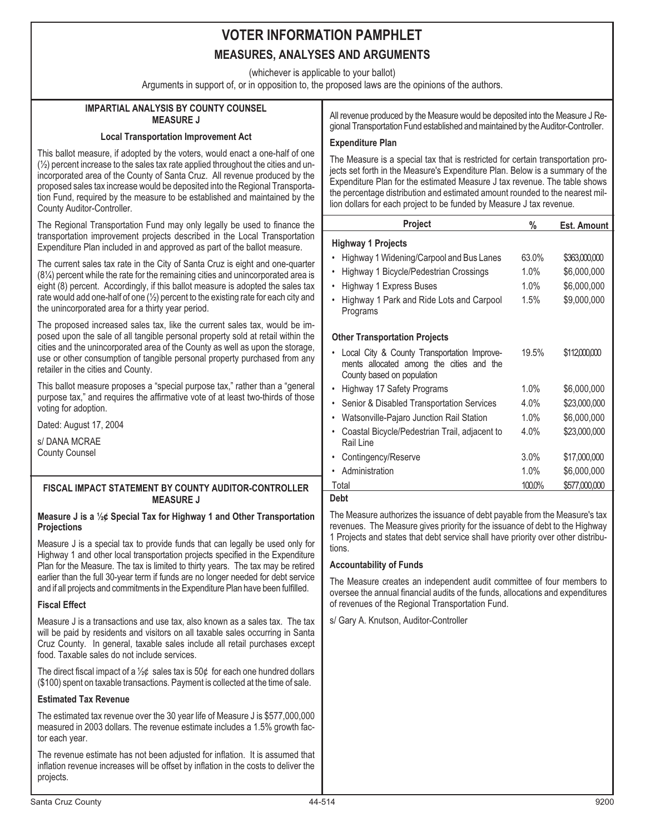(whichever is applicable to your ballot)

Arguments in support of, or in opposition to, the proposed laws are the opinions of the authors.

# **IMPARTIAL ANALYSIS BY COUNTY COUNSEL MEASURE J**

#### **Local Transportation Improvement Act**

This ballot measure, if adopted by the voters, would enact a one-half of one  $(½)$  percent increase to the sales tax rate applied throughout the cities and unincorporated area of the County of Santa Cruz. All revenue produced by the proposed sales tax increase would be deposited into the Regional Transportation Fund, required by the measure to be established and maintained by the County Auditor-Controller.

The Regional Transportation Fund may only legally be used to finance the transportation improvement projects described in the Local Transportation Expenditure Plan included in and approved as part of the ballot measure.

The current sales tax rate in the City of Santa Cruz is eight and one-quarter (8¼) percent while the rate for the remaining cities and unincorporated area is eight (8) percent. Accordingly, if this ballot measure is adopted the sales tax rate would add one-half of one  $(\frac{1}{2})$  percent to the existing rate for each city and the unincorporated area for a thirty year period.

The proposed increased sales tax, like the current sales tax, would be imposed upon the sale of all tangible personal property sold at retail within the cities and the unincorporated area of the County as well as upon the storage, use or other consumption of tangible personal property purchased from any retailer in the cities and County.

This ballot measure proposes a "special purpose tax," rather than a "general purpose tax," and requires the affirmative vote of at least two-thirds of those voting for adoption.

Dated: August 17, 2004

s/ DANA MCRAE County Counsel

# **FISCAL IMPACT STATEMENT BY COUNTY AUDITOR-CONTROLLER MEASURE J**

#### **Measure J is a ½¢ Special Tax for Highway 1 and Other Transportation Projections**

Measure J is a special tax to provide funds that can legally be used only for Highway 1 and other local transportation projects specified in the Expenditure Plan for the Measure. The tax is limited to thirty years. The tax may be retired earlier than the full 30-year term if funds are no longer needed for debt service and if all projects and commitments in the Expenditure Plan have been fulfilled.

# **Fiscal Effect**

Measure J is a transactions and use tax, also known as a sales tax. The tax will be paid by residents and visitors on all taxable sales occurring in Santa Cruz County. In general, taxable sales include all retail purchases except food. Taxable sales do not include services.

The direct fiscal impact of a  $\frac{1}{2}$  sales tax is 50 $\phi$  for each one hundred dollars (\$100) spent on taxable transactions. Payment is collected at the time of sale.

# **Estimated Tax Revenue**

The estimated tax revenue over the 30 year life of Measure J is \$577,000,000 measured in 2003 dollars. The revenue estimate includes a 1.5% growth factor each year.

The revenue estimate has not been adjusted for inflation. It is assumed that inflation revenue increases will be offset by inflation in the costs to deliver the projects.

All revenue produced by the Measure would be deposited into the Measure J Regional Transportation Fund established and maintained by the Auditor-Controller.

### **Expenditure Plan**

The Measure is a special tax that is restricted for certain transportation projects set forth in the Measure's Expenditure Plan. Below is a summary of the Expenditure Plan for the estimated Measure J tax revenue. The table shows the percentage distribution and estimated amount rounded to the nearest million dollars for each project to be funded by Measure J tax revenue.

| <b>Project</b>                                                                                                        | %       | <b>Est. Amount</b> |
|-----------------------------------------------------------------------------------------------------------------------|---------|--------------------|
| <b>Highway 1 Projects</b>                                                                                             |         |                    |
| Highway 1 Widening/Carpool and Bus Lanes                                                                              | 63.0%   | \$363,000,000      |
| Highway 1 Bicycle/Pedestrian Crossings<br>$\bullet$                                                                   | 1.0%    | \$6,000,000        |
| Highway 1 Express Buses<br>$\bullet$                                                                                  | 1.0%    | \$6,000,000        |
| Highway 1 Park and Ride Lots and Carpool<br>Programs                                                                  | 1.5%    | \$9,000,000        |
| <b>Other Transportation Projects</b>                                                                                  |         |                    |
| Local City & County Transportation Improve-<br>ments allocated among the cities and the<br>County based on population | 19.5%   | \$112,000,000      |
| Highway 17 Safety Programs                                                                                            | 1.0%    | \$6,000,000        |
| Senior & Disabled Transportation Services                                                                             | $4.0\%$ | \$23,000,000       |
| Watsonville-Pajaro Junction Rail Station                                                                              | 1.0%    | \$6,000,000        |
| Coastal Bicycle/Pedestrian Trail, adjacent to<br>Rail Line                                                            | $4.0\%$ | \$23,000,000       |
| Contingency/Reserve                                                                                                   | $3.0\%$ | \$17,000,000       |
| Administration                                                                                                        | 1.0%    | \$6,000,000        |
| Total                                                                                                                 | 100.0%  | \$577,000,000      |
| <b>Debt</b>                                                                                                           |         |                    |

The Measure authorizes the issuance of debt payable from the Measure's tax revenues. The Measure gives priority for the issuance of debt to the Highway 1 Projects and states that debt service shall have priority over other distributions.

# **Accountability of Funds**

The Measure creates an independent audit committee of four members to oversee the annual financial audits of the funds, allocations and expenditures of revenues of the Regional Transportation Fund.

s/ Gary A. Knutson, Auditor-Controller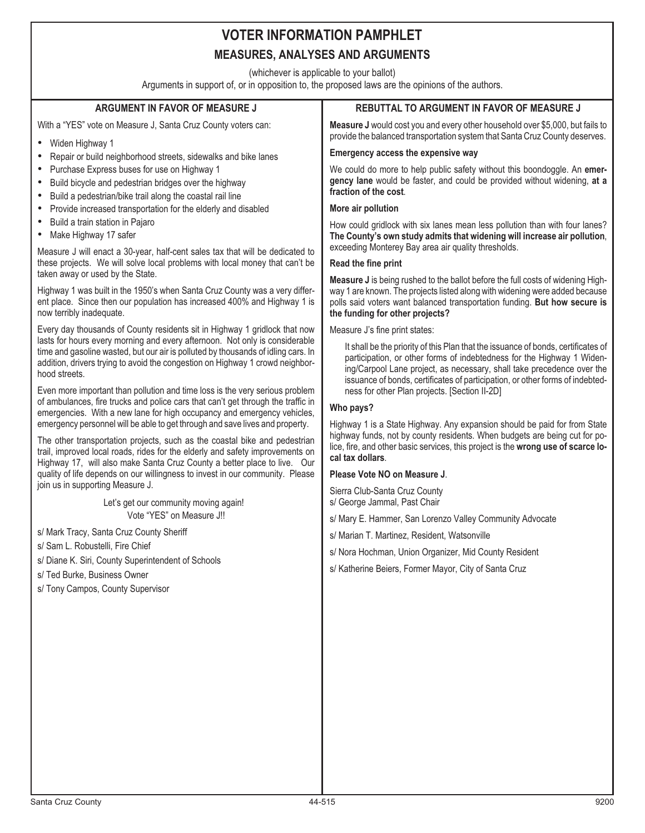# **VOTER INFORMATION PAMPHLET**

# **MEASURES, ANALYSES AND ARGUMENTS**

(whichever is applicable to your ballot)

Arguments in support of, or in opposition to, the proposed laws are the opinions of the authors.

#### **ARGUMENT IN FAVOR OF MEASURE J** With a "YES" vote on Measure J, Santa Cruz County voters can: •• Widen Highway 1 Repair or build neighborhood streets, sidewalks and bike lanes • Purchase Express buses for use on Highway 1 • Build bicycle and pedestrian bridges over the highway • Build a pedestrian/bike trail along the coastal rail line • Provide increased transportation for the elderly and disabled • Build a train station in Pajaro •• Make Highway 17 safer Measure J will enact a 30-year, half-cent sales tax that will be dedicated to these projects. We will solve local problems with local money that can't be taken away or used by the State. Highway 1 was built in the 1950's when Santa Cruz County was a very different place. Since then our population has increased 400% and Highway 1 is now terribly inadequate. Every day thousands of County residents sit in Highway 1 gridlock that now lasts for hours every morning and every afternoon. Not only is considerable time and gasoline wasted, but our air is polluted by thousands of idling cars. In addition, drivers trying to avoid the congestion on Highway 1 crowd neighborhood streets. Even more important than pollution and time loss is the very serious problem of ambulances, fire trucks and police cars that can't get through the traffic in emergencies. With a new lane for high occupancy and emergency vehicles, emergency personnel will be able to get through and save lives and property. The other transportation projects, such as the coastal bike and pedestrian trail, improved local roads, rides for the elderly and safety improvements on Highway 17, will also make Santa Cruz County a better place to live. Our quality of life depends on our willingness to invest in our community. Please join us in supporting Measure J. Let's get our community moving again! Vote "YES" on Measure J!! s/ Mark Tracy, Santa Cruz County Sheriff s/ Sam L. Robustelli, Fire Chief s/ Diane K. Siri, County Superintendent of Schools s/ Ted Burke, Business Owner s/ Tony Campos, County Supervisor **REBUTTAL TO ARGUMENT IN FAVOR OF MEASURE J Measure J** would cost you and every other household over \$5,000, but fails to provide the balanced transportation system that Santa Cruz County deserves. **Emergency access the expensive way** We could do more to help public safety without this boondoggle. An **emergency lane** would be faster, and could be provided without widening, **at a fraction of the cost**. **More air pollution** How could gridlock with six lanes mean less pollution than with four lanes? **The County's own study admits that widening will increase air pollution**, exceeding Monterey Bay area air quality thresholds. **Read the fine print Measure J** is being rushed to the ballot before the full costs of widening Highway 1 are known. The projects listed along with widening were added because polls said voters want balanced transportation funding. **But how secure is the funding for other projects?** Measure J's fine print states: It shall be the priority of this Plan that the issuance of bonds, certificates of participation, or other forms of indebtedness for the Highway 1 Widening/Carpool Lane project, as necessary, shall take precedence over the issuance of bonds, certificates of participation, or other forms of indebtedness for other Plan projects. [Section II-2D] **Who pays?** Highway 1 is a State Highway. Any expansion should be paid for from State highway funds, not by county residents. When budgets are being cut for police, fire, and other basic services, this project is the **wrong use of scarce local tax dollars**. **Please Vote NO on Measure J**. Sierra Club-Santa Cruz County s/ George Jammal, Past Chair s/ Mary E. Hammer, San Lorenzo Valley Community Advocate s/ Marian T. Martinez, Resident, Watsonville s/ Nora Hochman, Union Organizer, Mid County Resident s/ Katherine Beiers, Former Mayor, City of Santa Cruz